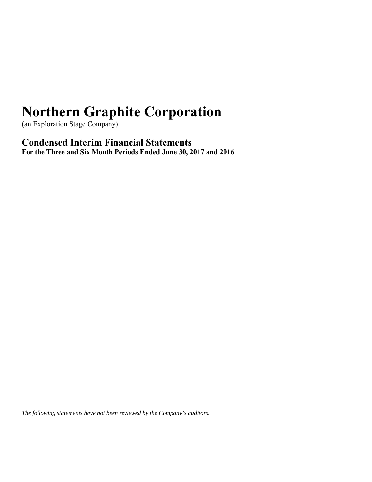(an Exploration Stage Company)

**Condensed Interim Financial Statements For the Three and Six Month Periods Ended June 30, 2017 and 2016** 

*The following statements have not been reviewed by the Company's auditors.*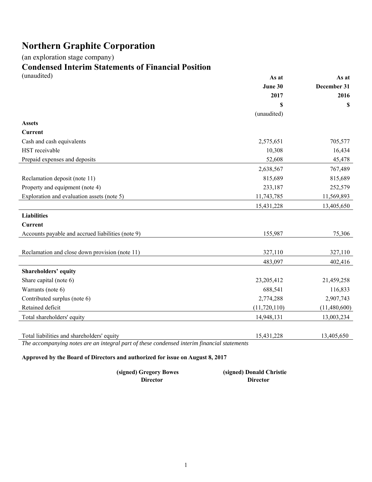(an exploration stage company)

# **Condensed Interim Statements of Financial Position**

| (unaudited)                                       | As at          | As at        |
|---------------------------------------------------|----------------|--------------|
|                                                   | June 30        | December 31  |
|                                                   | 2017           | 2016         |
|                                                   | \$             | \$           |
|                                                   | (unaudited)    |              |
| <b>Assets</b>                                     |                |              |
| <b>Current</b>                                    |                |              |
| Cash and cash equivalents                         | 2,575,651      | 705,577      |
| HST receivable                                    | 10,308         | 16,434       |
| Prepaid expenses and deposits                     | 52,608         | 45,478       |
|                                                   | 2,638,567      | 767,489      |
| Reclamation deposit (note 11)                     | 815,689        | 815,689      |
| Property and equipment (note 4)                   | 233,187        | 252,579      |
| Exploration and evaluation assets (note 5)        | 11,743,785     | 11,569,893   |
|                                                   | 15,431,228     | 13,405,650   |
| <b>Liabilities</b>                                |                |              |
| <b>Current</b>                                    |                |              |
| Accounts payable and accrued liabilities (note 9) | 155,987        | 75,306       |
|                                                   |                |              |
| Reclamation and close down provision (note 11)    | 327,110        | 327,110      |
|                                                   | 483,097        | 402,416      |
| Shareholders' equity                              |                |              |
| Share capital (note 6)                            | 23,205,412     | 21,459,258   |
| Warrants (note 6)                                 | 688,541        | 116,833      |
| Contributed surplus (note 6)                      | 2,774,288      | 2,907,743    |
| Retained deficit                                  | (11, 720, 110) | (11,480,600) |
| Total shareholders' equity                        | 14,948,131     | 13,003,234   |
|                                                   |                |              |
| Total liabilities and shareholders' equity        | 15,431,228     | 13,405,650   |

*The accompanying notes are an integral part of these condensed interim financial statements* 

**Approved by the Board of Directors and authorized for issue on August 8, 2017** 

| (signed) Gregory Bowes | (signed) Donald Christie |
|------------------------|--------------------------|
| Director               | <b>Director</b>          |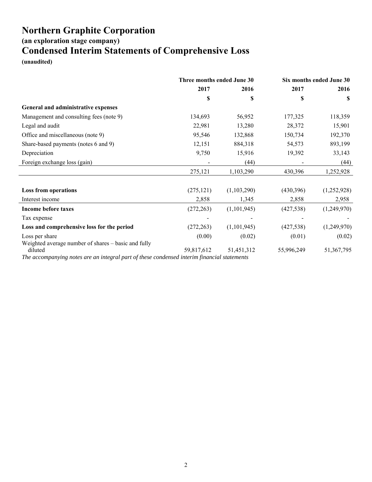**(an exploration stage company)**

## **Condensed Interim Statements of Comprehensive Loss**

**(unaudited)** 

|                                                                                                                                                               | Three months ended June 30 |             | Six months ended June 30 |             |
|---------------------------------------------------------------------------------------------------------------------------------------------------------------|----------------------------|-------------|--------------------------|-------------|
|                                                                                                                                                               | 2017                       | 2016        | 2017                     | 2016        |
|                                                                                                                                                               | \$                         | \$          | S                        | <b>S</b>    |
| General and administrative expenses                                                                                                                           |                            |             |                          |             |
| Management and consulting fees (note 9)                                                                                                                       | 134,693                    | 56,952      | 177,325                  | 118,359     |
| Legal and audit                                                                                                                                               | 22,981                     | 13,280      | 28,372                   | 15,901      |
| Office and miscellaneous (note 9)                                                                                                                             | 95,546                     | 132,868     | 150,734                  | 192,370     |
| Share-based payments (notes 6 and 9)                                                                                                                          | 12,151                     | 884,318     | 54,573                   | 893,199     |
| Depreciation                                                                                                                                                  | 9,750                      | 15,916      | 19,392                   | 33,143      |
| Foreign exchange loss (gain)                                                                                                                                  |                            | (44)        |                          | (44)        |
|                                                                                                                                                               | 275,121                    | 1,103,290   | 430,396                  | 1,252,928   |
|                                                                                                                                                               |                            |             |                          |             |
| <b>Loss from operations</b>                                                                                                                                   | (275, 121)                 | (1,103,290) | (430,396)                | (1,252,928) |
| Interest income                                                                                                                                               | 2,858                      | 1,345       | 2,858                    | 2,958       |
| <b>Income before taxes</b>                                                                                                                                    | (272, 263)                 | (1,101,945) | (427, 538)               | (1,249,970) |
| Tax expense                                                                                                                                                   |                            |             |                          |             |
| Loss and comprehensive loss for the period                                                                                                                    | (272, 263)                 | (1,101,945) | (427, 538)               | (1,249,970) |
| Loss per share                                                                                                                                                | (0.00)                     | (0.02)      | (0.01)                   | (0.02)      |
| Weighted average number of shares - basic and fully<br>diluted<br>The accompanying notes are an integral part of these condensed interim financial statements | 59,817,612                 | 51,451,312  | 55,996,249               | 51,367,795  |

*The accompanying notes are an integral part of these condensed interim financial statements*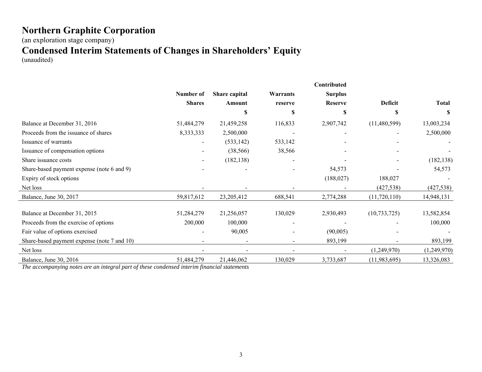(an exploration stage company)

## **Condensed Interim Statements of Changes in Shareholders' Equity**

(unaudited)

|                                             |               |               |          | Contributed    |                |              |
|---------------------------------------------|---------------|---------------|----------|----------------|----------------|--------------|
|                                             | Number of     | Share capital | Warrants | <b>Surplus</b> |                |              |
|                                             | <b>Shares</b> | Amount        | reserve  | <b>Reserve</b> | Deficit        | <b>Total</b> |
|                                             |               | S             | S        | S              | \$             | S            |
| Balance at December 31, 2016                | 51,484,279    | 21,459,258    | 116,833  | 2,907,742      | (11,480,599)   | 13,003,234   |
| Proceeds from the issuance of shares        | 8,333,333     | 2,500,000     |          |                |                | 2,500,000    |
| Issuance of warrants                        |               | (533, 142)    | 533,142  |                |                |              |
| Issuance of compensation options            |               | (38, 566)     | 38,566   |                |                |              |
| Share issuance costs                        |               | (182, 138)    |          |                |                | (182, 138)   |
| Share-based payment expense (note 6 and 9)  |               |               |          | 54,573         |                | 54,573       |
| Expiry of stock options                     |               |               |          | (188, 027)     | 188,027        |              |
| Net loss                                    |               |               |          |                | (427, 538)     | (427, 538)   |
| Balance, June 30, 2017                      | 59,817,612    | 23,205,412    | 688,541  | 2,774,288      | (11,720,110)   | 14,948,131   |
| Balance at December 31, 2015                | 51,284,279    | 21,256,057    | 130,029  | 2,930,493      | (10, 733, 725) | 13,582,854   |
| Proceeds from the exercise of options       | 200,000       | 100,000       |          |                |                | 100,000      |
| Fair value of options exercised             |               | 90,005        |          | (90,005)       |                |              |
| Share-based payment expense (note 7 and 10) |               |               |          | 893,199        |                | 893,199      |
| Net loss                                    |               |               |          |                | (1,249,970)    | (1,249,970)  |
| Balance, June 30, 2016                      | 51,484,279    | 21,446,062    | 130,029  | 3,733,687      | (11, 983, 695) | 13,326,083   |

*The accompanying notes are an integral part of these condensed interim financial statements*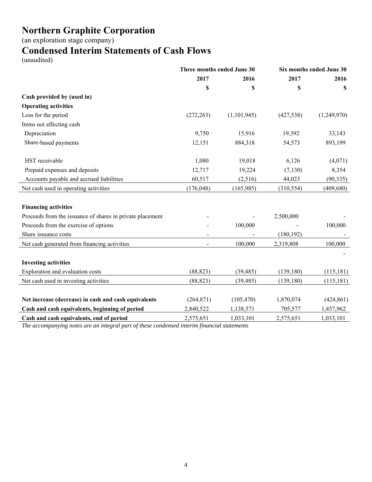(an exploration stage company)

## **Condensed Interim Statements of Cash Flows**

(unaudited)

|                                                           | Three months ended June 30 |             | Six months ended June 30 |             |
|-----------------------------------------------------------|----------------------------|-------------|--------------------------|-------------|
|                                                           | 2017                       | 2016        | 2017                     | 2016        |
|                                                           | \$                         | \$          | \$                       | S           |
| Cash provided by (used in)                                |                            |             |                          |             |
| <b>Operating activities</b>                               |                            |             |                          |             |
| Loss for the period                                       | (272, 263)                 | (1,101,945) | (427, 538)               | (1,249,970) |
| Items not affecting cash                                  |                            |             |                          |             |
| Depreciation                                              | 9,750                      | 15,916      | 19,392                   | 33,143      |
| Share-based payments                                      | 12,151                     | 884,318     | 54,573                   | 893,199     |
| HST receivable                                            | 1,080                      | 19,018      | 6,126                    | (4,071)     |
| Prepaid expenses and deposits                             | 12,717                     | 19,224      | (7, 130)                 | 8,354       |
| Accounts payable and accrued liabilities                  | 60,517                     | (2,516)     | 44,023                   | (90, 335)   |
| Net cash used in operating activities                     | (176, 048)                 | (165, 985)  | (310, 554)               | (409, 680)  |
| <b>Financing activities</b>                               |                            |             |                          |             |
| Proceeds from the issuance of shares in private placement |                            |             | 2,500,000                |             |
| Proceeds from the exercise of options                     |                            | 100,000     |                          | 100,000     |
| Share issuance costs                                      | $\overline{\phantom{0}}$   |             | (180, 192)               |             |
| Net cash generated from financing activities              | $\overline{a}$             | 100,000     | 2,319,808                | 100,000     |
|                                                           |                            |             |                          |             |
| <b>Investing activities</b>                               |                            |             |                          |             |
| Exploration and evaluation costs                          | (88, 823)                  | (39, 485)   | (139, 180)               | (115, 181)  |
| Net cash used in investing activities                     | (88, 823)                  | (39, 485)   | (139, 180)               | (115, 181)  |
| Net increase (decrease) in cash and cash equivalents      | (264, 871)                 | (105, 470)  | 1,870,074                | (424, 861)  |
| Cash and cash equivalents, beginning of period            | 2,840,522                  | 1,138,571   | 705,577                  | 1,457,962   |
| Cash and cash equivalents, end of period                  | 2,575,651                  | 1,033,101   | 2,575,651                | 1,033,101   |

*The accompanying notes are an integral part of these condensed interim financial statements*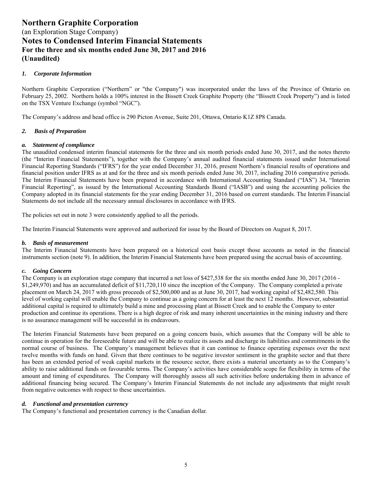#### *1. Corporate Information*

Northern Graphite Corporation ("Northern" or "the Company") was incorporated under the laws of the Province of Ontario on February 25, 2002. Northern holds a 100% interest in the Bissett Creek Graphite Property (the "Bissett Creek Property") and is listed on the TSX Venture Exchange (symbol "NGC").

The Company's address and head office is 290 Picton Avenue, Suite 201, Ottawa, Ontario K1Z 8P8 Canada.

#### *2. Basis of Preparation*

#### *a. Statement of compliance*

The unaudited condensed interim financial statements for the three and six month periods ended June 30, 2017, and the notes thereto (the "Interim Financial Statements"), together with the Company's annual audited financial statements issued under International Financial Reporting Standards ("IFRS") for the year ended December 31, 2016, present Northern's financial results of operations and financial position under IFRS as at and for the three and six month periods ended June 30, 2017, including 2016 comparative periods. The Interim Financial Statements have been prepared in accordance with International Accounting Standard ("IAS") 34, "Interim Financial Reporting", as issued by the International Accounting Standards Board ("IASB") and using the accounting policies the Company adopted in its financial statements for the year ending December 31, 2016 based on current standards. The Interim Financial Statements do not include all the necessary annual disclosures in accordance with IFRS.

The policies set out in note 3 were consistently applied to all the periods.

The Interim Financial Statements were approved and authorized for issue by the Board of Directors on August 8, 2017.

#### *b. Basis of measurement*

The Interim Financial Statements have been prepared on a historical cost basis except those accounts as noted in the financial instruments section (note 9). In addition, the Interim Financial Statements have been prepared using the accrual basis of accounting.

#### *c. Going Concern*

The Company is an exploration stage company that incurred a net loss of \$427,538 for the six months ended June 30, 2017 (2016 - \$1,249,970) and has an accumulated deficit of \$11,720,110 since the inception of the Company. The Company completed a private placement on March 24, 2017 with gross proceeds of \$2,500,000 and as at June 30, 2017, had working capital of \$2,482,580. This level of working capital will enable the Company to continue as a going concern for at least the next 12 months. However, substantial additional capital is required to ultimately build a mine and processing plant at Bissett Creek and to enable the Company to enter production and continue its operations. There is a high degree of risk and many inherent uncertainties in the mining industry and there is no assurance management will be successful in its endeavours.

The Interim Financial Statements have been prepared on a going concern basis, which assumes that the Company will be able to continue in operation for the foreseeable future and will be able to realize its assets and discharge its liabilities and commitments in the normal course of business. The Company's management believes that it can continue to finance operating expenses over the next twelve months with funds on hand. Given that there continues to be negative investor sentiment in the graphite sector and that there has been an extended period of weak capital markets in the resource sector, there exists a material uncertainty as to the Company's ability to raise additional funds on favourable terms. The Company's activities have considerable scope for flexibility in terms of the amount and timing of expenditures. The Company will thoroughly assess all such activities before undertaking them in advance of additional financing being secured. The Company's Interim Financial Statements do not include any adjustments that might result from negative outcomes with respect to these uncertainties.

#### *d. Functional and presentation currency*

The Company's functional and presentation currency is the Canadian dollar.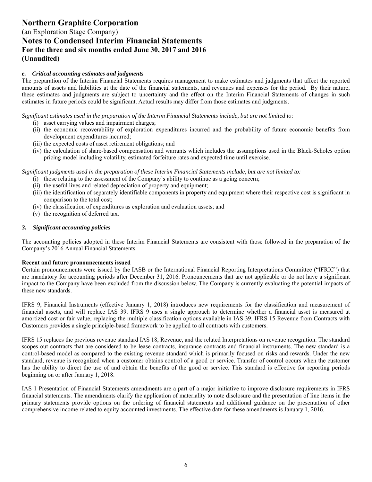(an Exploration Stage Company) **Notes to Condensed Interim Financial Statements For the three and six months ended June 30, 2017 and 2016 (Unaudited)** 

#### *e. Critical accounting estimates and judgments*

The preparation of the Interim Financial Statements requires management to make estimates and judgments that affect the reported amounts of assets and liabilities at the date of the financial statements, and revenues and expenses for the period. By their nature, these estimates and judgments are subject to uncertainty and the effect on the Interim Financial Statements of changes in such estimates in future periods could be significant. Actual results may differ from those estimates and judgments.

*Significant estimates used in the preparation of the Interim Financial Statements include, but are not limited to:* 

- (i) asset carrying values and impairment charges;
- (ii) the economic recoverability of exploration expenditures incurred and the probability of future economic benefits from development expenditures incurred;
- (iii) the expected costs of asset retirement obligations; and
- (iv) the calculation of share-based compensation and warrants which includes the assumptions used in the Black-Scholes option pricing model including volatility, estimated forfeiture rates and expected time until exercise.

*Significant judgments used in the preparation of these Interim Financial Statements include, but are not limited to:* 

- (i) those relating to the assessment of the Company's ability to continue as a going concern;
- (ii) the useful lives and related depreciation of property and equipment;
- (iii) the identification of separately identifiable components in property and equipment where their respective cost is significant in comparison to the total cost;
- (iv) the classification of expenditures as exploration and evaluation assets; and
- (v) the recognition of deferred tax.

#### *3. Significant accounting policies*

The accounting policies adopted in these Interim Financial Statements are consistent with those followed in the preparation of the Company's 2016 Annual Financial Statements.

#### **Recent and future pronouncements issued**

Certain pronouncements were issued by the IASB or the International Financial Reporting Interpretations Committee ("IFRIC") that are mandatory for accounting periods after December 31, 2016. Pronouncements that are not applicable or do not have a significant impact to the Company have been excluded from the discussion below. The Company is currently evaluating the potential impacts of these new standards.

IFRS 9, Financial Instruments (effective January 1, 2018) introduces new requirements for the classification and measurement of financial assets, and will replace IAS 39. IFRS 9 uses a single approach to determine whether a financial asset is measured at amortized cost or fair value, replacing the multiple classification options available in IAS 39. IFRS 15 Revenue from Contracts with Customers provides a single principle-based framework to be applied to all contracts with customers.

IFRS 15 replaces the previous revenue standard IAS 18, Revenue, and the related Interpretations on revenue recognition. The standard scopes out contracts that are considered to be lease contracts, insurance contracts and financial instruments. The new standard is a control-based model as compared to the existing revenue standard which is primarily focused on risks and rewards. Under the new standard, revenue is recognized when a customer obtains control of a good or service. Transfer of control occurs when the customer has the ability to direct the use of and obtain the benefits of the good or service. This standard is effective for reporting periods beginning on or after January 1, 2018.

IAS 1 Presentation of Financial Statements amendments are a part of a major initiative to improve disclosure requirements in IFRS financial statements. The amendments clarify the application of materiality to note disclosure and the presentation of line items in the primary statements provide options on the ordering of financial statements and additional guidance on the presentation of other comprehensive income related to equity accounted investments. The effective date for these amendments is January 1, 2016.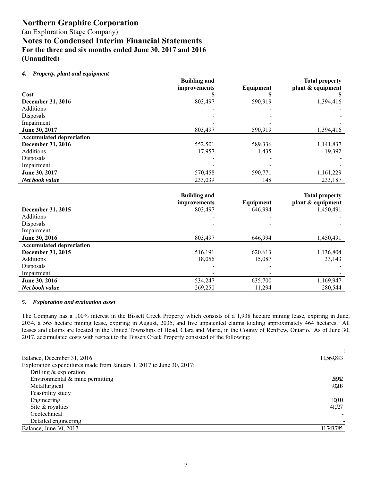(an Exploration Stage Company)

**Notes to Condensed Interim Financial Statements For the three and six months ended June 30, 2017 and 2016 (Unaudited)** 

#### *4. Property, plant and equipment*

|                                 | <b>Building and</b> |           | <b>Total property</b> |
|---------------------------------|---------------------|-----------|-----------------------|
|                                 | improvements        | Equipment | plant & equipment     |
| Cost                            |                     |           |                       |
| <b>December 31, 2016</b>        | 803,497             | 590,919   | 1,394,416             |
| Additions                       |                     |           |                       |
| Disposals                       |                     |           |                       |
| Impairment                      |                     |           |                       |
| June 30, 2017                   | 803,497             | 590,919   | 1,394,416             |
| <b>Accumulated depreciation</b> |                     |           |                       |
| <b>December 31, 2016</b>        | 552,501             | 589,336   | 1,141,837             |
| Additions                       | 17,957              | 1,435     | 19,392                |
| Disposals                       |                     |           |                       |
| Impairment                      |                     |           |                       |
| June 30, 2017                   | 570,458             | 590,771   | 1,161,229             |
| Net book value                  | 233,039             | 148       | 233,187               |

|                                 | <b>Building and</b><br>improvements | Equipment | <b>Total property</b><br>plant & equipment |
|---------------------------------|-------------------------------------|-----------|--------------------------------------------|
| December 31, 2015               | 803,497                             | 646,994   | 1,450,491                                  |
| <b>Additions</b>                |                                     |           |                                            |
| Disposals                       |                                     |           |                                            |
| Impairment                      |                                     |           |                                            |
| June 30, 2016                   | 803,497                             | 646,994   | 1,450,491                                  |
| <b>Accumulated depreciation</b> |                                     |           |                                            |
| December 31, 2015               | 516,191                             | 620,613   | 1,136,804                                  |
| Additions                       | 18.056                              | 15,087    | 33,143                                     |
| Disposals                       |                                     |           |                                            |
| Impairment                      |                                     |           |                                            |
| June 30, 2016                   | 534,247                             | 635,700   | 1,169,947                                  |
| Net book value                  | 269,250                             | 11,294    | 280,544                                    |

#### *5. Exploration and evaluation asset*

The Company has a 100% interest in the Bissett Creek Property which consists of a 1,938 hectare mining lease, expiring in June, 2034, a 565 hectare mining lease, expiring in August, 2035, and five unpatented claims totaling approximately 464 hectares. All leases and claims are located in the United Townships of Head, Clara and Maria, in the County of Renfrew, Ontario. As of June 30, 2017, accumulated costs with respect to the Bissett Creek Property consisted of the following:

**\$**

| Balance, December 31, 2016                                           | 11,569,893 |
|----------------------------------------------------------------------|------------|
| Exploration expenditures made from January 1, 2017 to June 30, 2017: |            |
| Drilling & exploration                                               |            |
| Environmental & mine permitting                                      | 28962      |
| Metallurgical                                                        | 93203      |
| Feasibility study                                                    |            |
| Engineering                                                          | 10,000     |
| Site & royalties                                                     | 41,727     |
| Geotechnical                                                         |            |
| Detailed engineering                                                 |            |
| Balance, June 30, 2017                                               | 11,743,785 |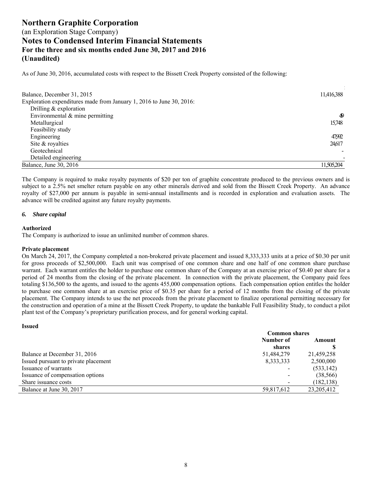As of June 30, 2016, accumulated costs with respect to the Bissett Creek Property consisted of the following:

| Balance, December 31, 2015                                           | 11,416,388 |
|----------------------------------------------------------------------|------------|
| Exploration expenditures made from January 1, 2016 to June 30, 2016: |            |
| Drilling & exploration                                               |            |
| Environmental & mine permitting                                      | 49         |
| Metallurgical                                                        | 15,748     |
| Feasibility study                                                    |            |
| Engineering                                                          | 47,992     |
| Site & royalties                                                     | 24,617     |
| Geotechnical                                                         |            |
| Detailed engineering                                                 |            |
| Balance, June 30, 2016                                               | 11.505.204 |

The Company is required to make royalty payments of \$20 per ton of graphite concentrate produced to the previous owners and is subject to a 2.5% net smelter return payable on any other minerals derived and sold from the Bissett Creek Property. An advance royalty of \$27,000 per annum is payable in semi-annual installments and is recorded in exploration and evaluation assets. The advance will be credited against any future royalty payments.

#### *6. Share capital*

#### **Authorized**

The Company is authorized to issue an unlimited number of common shares.

#### **Private placement**

On March 24, 2017, the Company completed a non-brokered private placement and issued 8,333,333 units at a price of \$0.30 per unit for gross proceeds of \$2,500,000. Each unit was comprised of one common share and one half of one common share purchase warrant. Each warrant entitles the holder to purchase one common share of the Company at an exercise price of \$0.40 per share for a period of 24 months from the closing of the private placement. In connection with the private placement, the Company paid fees totaling \$136,500 to the agents, and issued to the agents 455,000 compensation options. Each compensation option entitles the holder to purchase one common share at an exercise price of \$0.35 per share for a period of 12 months from the closing of the private placement. The Company intends to use the net proceeds from the private placement to finalize operational permitting necessary for the construction and operation of a mine at the Bissett Creek Property, to update the bankable Full Feasibility Study, to conduct a pilot plant test of the Company's proprietary purification process, and for general working capital.

#### **Issued**

|                                      | <b>Common shares</b> |              |  |
|--------------------------------------|----------------------|--------------|--|
|                                      | Number of            | Amount       |  |
|                                      | shares               |              |  |
| Balance at December 31, 2016         | 51,484,279           | 21,459,258   |  |
| Issued pursuant to private placement | 8,333,333            | 2,500,000    |  |
| Issuance of warrants                 |                      | (533, 142)   |  |
| Issuance of compensation options     |                      | (38, 566)    |  |
| Share issuance costs                 |                      | (182, 138)   |  |
| Balance at June 30, 2017             | 59,817,612           | 23, 205, 412 |  |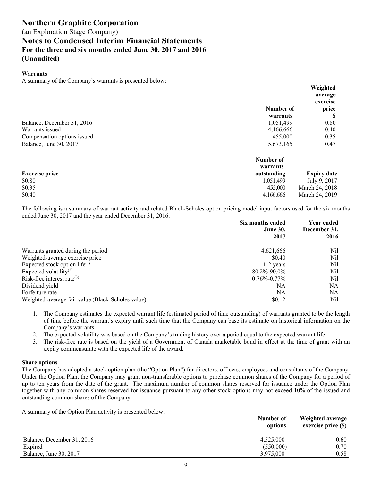#### **Warrants**

A summary of the Company's warrants is presented below:

|                             |           | Weighted |
|-----------------------------|-----------|----------|
|                             |           | average  |
|                             |           | exercise |
|                             | Number of | price    |
|                             | warrants  | S        |
| Balance, December 31, 2016  | 1,051,499 | 0.80     |
| Warrants issued             | 4,166,666 | 0.40     |
| Compensation options issued | 455,000   | 0.35     |
| Balance, June 30, 2017      | 5,673,165 | 0.47     |

|                       | Number of<br>warrants |                    |
|-----------------------|-----------------------|--------------------|
| <b>Exercise price</b> | outstanding           | <b>Expiry date</b> |
| \$0.80                | 1.051.499             | July 9, 2017       |
| \$0.35                | 455,000               | March 24, 2018     |
| \$0.40                | 4.166.666             | March 24, 2019     |

The following is a summary of warrant activity and related Black-Scholes option pricing model input factors used for the six months ended June 30, 2017 and the year ended December 31, 2016:

|                                                   | Six months ended<br><b>June 30,</b> | Year ended<br>December 31, |  |
|---------------------------------------------------|-------------------------------------|----------------------------|--|
|                                                   | 2017                                | 2016                       |  |
| Warrants granted during the period                | 4,621,666                           | Nil                        |  |
| Weighted-average exercise price                   | \$0.40                              | Nil                        |  |
| Expected stock option life $(1)$                  | 1-2 years                           | Nil                        |  |
| Expected volatility <sup>(2)</sup>                | 80.2%-90.0%                         | Nil                        |  |
| Risk-free interest rate $^{(3)}$                  | $0.76\% - 0.77\%$                   | Nil                        |  |
| Dividend yield                                    | NA                                  | NA                         |  |
| Forfeiture rate                                   | NA                                  | NA                         |  |
| Weighted-average fair value (Black-Scholes value) | \$0.12                              | Nil                        |  |

- 1. The Company estimates the expected warrant life (estimated period of time outstanding) of warrants granted to be the length of time before the warrant's expiry until such time that the Company can base its estimate on historical information on the Company's warrants.
- 2. The expected volatility was based on the Company's trading history over a period equal to the expected warrant life.
- 3. The risk-free rate is based on the yield of a Government of Canada marketable bond in effect at the time of grant with an expiry commensurate with the expected life of the award.

#### **Share options**

The Company has adopted a stock option plan (the "Option Plan") for directors, officers, employees and consultants of the Company. Under the Option Plan, the Company may grant non-transferable options to purchase common shares of the Company for a period of up to ten years from the date of the grant. The maximum number of common shares reserved for issuance under the Option Plan together with any common shares reserved for issuance pursuant to any other stock options may not exceed 10% of the issued and outstanding common shares of the Company.

A summary of the Option Plan activity is presented below:

|                            | Number of<br>options | <b>Weighted average</b><br>exercise price (\$) |  |
|----------------------------|----------------------|------------------------------------------------|--|
| Balance, December 31, 2016 | 4,525,000            | 0.60                                           |  |
| Expired                    | (550,000)            | 0.70                                           |  |
| Balance, June 30, 2017     | 3,975,000            | 0.58                                           |  |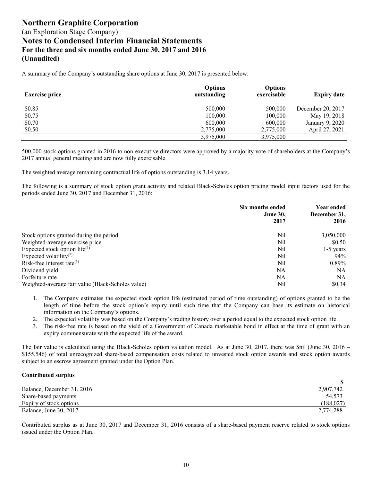A summary of the Company's outstanding share options at June 30, 2017 is presented below:

| <b>Exercise price</b> | <b>Options</b><br>outstanding | <b>Options</b><br>exercisable | <b>Expiry date</b> |
|-----------------------|-------------------------------|-------------------------------|--------------------|
| \$0.85                | 500,000                       | 500,000                       | December 20, 2017  |
| \$0.75                | 100,000                       | 100,000                       | May 19, 2018       |
| \$0.70                | 600,000                       | 600,000                       | January 9, 2020    |
| \$0.50                | 2,775,000                     | 2,775,000                     | April 27, 2021     |
|                       | 3,975,000                     | 3,975,000                     |                    |

500,000 stock options granted in 2016 to non-executive directors were approved by a majority vote of shareholders at the Company's 2017 annual general meeting and are now fully exercisable.

The weighted average remaining contractual life of options outstanding is 3.14 years.

The following is a summary of stock option grant activity and related Black-Scholes option pricing model input factors used for the periods ended June 30, 2017 and December 31, 2016:

|                                                   | Six months ended<br><b>June 30,</b><br>2017 | Year ended<br>December 31,<br>2016 |
|---------------------------------------------------|---------------------------------------------|------------------------------------|
| Stock options granted during the period           | Nil                                         | 3,050,000                          |
| Weighted-average exercise price                   | Nil                                         | \$0.50                             |
| Expected stock option life $(1)$                  | Nil                                         | $1-5$ years                        |
| Expected volatility <sup>(2)</sup>                | Nil                                         | $94\%$                             |
| Risk-free interest rate $(3)$                     | Nil                                         | $0.89\%$                           |
| Dividend yield                                    | NA                                          | NA                                 |
| Forfeiture rate                                   | NA                                          | NA.                                |
| Weighted-average fair value (Black-Scholes value) | Nil                                         | \$0.34                             |

- 1. The Company estimates the expected stock option life (estimated period of time outstanding) of options granted to be the length of time before the stock option's expiry until such time that the Company can base its estimate on historical information on the Company's options.
- 2. The expected volatility was based on the Company's trading history over a period equal to the expected stock option life.
- 3. The risk-free rate is based on the yield of a Government of Canada marketable bond in effect at the time of grant with an expiry commensurate with the expected life of the award.

The fair value is calculated using the Black-Scholes option valuation model. As at June 30, 2017, there was \$nil (June 30, 2016 – \$155,546) of total unrecognized share-based compensation costs related to unvested stock option awards and stock option awards subject to an escrow agreement granted under the Option Plan.

#### **Contributed surplus**

| Balance, December 31, 2016    | 2,907,742 |
|-------------------------------|-----------|
| Share-based payments          | 54.573    |
| Expiry of stock options       | (188,027) |
| <b>Balance, June 30, 2017</b> | 2,774,288 |

Contributed surplus as at June 30, 2017 and December 31, 2016 consists of a share-based payment reserve related to stock options issued under the Option Plan.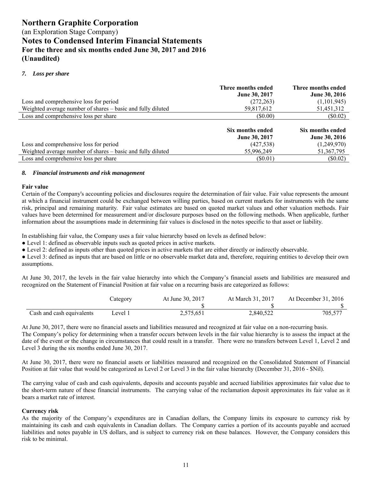### (an Exploration Stage Company) **Notes to Condensed Interim Financial Statements For the three and six months ended June 30, 2017 and 2016 (Unaudited)**

#### *7. Loss per share*

|                                                             | Three months ended<br><b>June 30, 2017</b> | Three months ended<br><b>June 30, 2016</b> |
|-------------------------------------------------------------|--------------------------------------------|--------------------------------------------|
| Loss and comprehensive loss for period                      | (272, 263)                                 | (1,101,945)                                |
| Weighted average number of shares - basic and fully diluted | 59,817,612                                 | 51,451,312                                 |
| Loss and comprehensive loss per share                       | $($ \$0.00)                                | $(\$0.02)$                                 |
|                                                             | Six months ended<br><b>June 30, 2017</b>   | Six months ended<br><b>June 30, 2016</b>   |
| Loss and comprehensive loss for period                      | (427, 538)                                 | (1,249,970)                                |
| Weighted average number of shares – basic and fully diluted | 55,996,249                                 | 51, 367, 795                               |
| Loss and comprehensive loss per share                       | (S0.01)                                    | $(\$0.02)$                                 |

#### *8. Financial instruments and risk management*

#### **Fair value**

Certain of the Company's accounting policies and disclosures require the determination of fair value. Fair value represents the amount at which a financial instrument could be exchanged between willing parties, based on current markets for instruments with the same risk, principal and remaining maturity. Fair value estimates are based on quoted market values and other valuation methods. Fair values have been determined for measurement and/or disclosure purposes based on the following methods. When applicable, further information about the assumptions made in determining fair values is disclosed in the notes specific to that asset or liability.

In establishing fair value, the Company uses a fair value hierarchy based on levels as defined below:

● Level 1: defined as observable inputs such as quoted prices in active markets.

● Level 2: defined as inputs other than quoted prices in active markets that are either directly or indirectly observable.

● Level 3: defined as inputs that are based on little or no observable market data and, therefore, requiring entities to develop their own assumptions.

At June 30, 2017, the levels in the fair value hierarchy into which the Company's financial assets and liabilities are measured and recognized on the Statement of Financial Position at fair value on a recurring basis are categorized as follows:

|                           | $\angle$ ategory | At June 30, 2017 | At March 31, 2017 | At December $31, 2016$ |
|---------------------------|------------------|------------------|-------------------|------------------------|
|                           |                  |                  |                   |                        |
| Cash and cash equivalents | Level 1          | 2,575,651        | 2,840,522         | 705.577                |

At June 30, 2017, there were no financial assets and liabilities measured and recognized at fair value on a non-recurring basis. The Company's policy for determining when a transfer occurs between levels in the fair value hierarchy is to assess the impact at the date of the event or the change in circumstances that could result in a transfer. There were no transfers between Level 1, Level 2 and Level 3 during the six months ended June 30, 2017.

At June 30, 2017, there were no financial assets or liabilities measured and recognized on the Consolidated Statement of Financial Position at fair value that would be categorized as Level 2 or Level 3 in the fair value hierarchy (December 31, 2016 - \$Nil).

The carrying value of cash and cash equivalents, deposits and accounts payable and accrued liabilities approximates fair value due to the short-term nature of these financial instruments. The carrying value of the reclamation deposit approximates its fair value as it bears a market rate of interest.

#### **Currency risk**

As the majority of the Company's expenditures are in Canadian dollars, the Company limits its exposure to currency risk by maintaining its cash and cash equivalents in Canadian dollars. The Company carries a portion of its accounts payable and accrued liabilities and notes payable in US dollars, and is subject to currency risk on these balances. However, the Company considers this risk to be minimal.